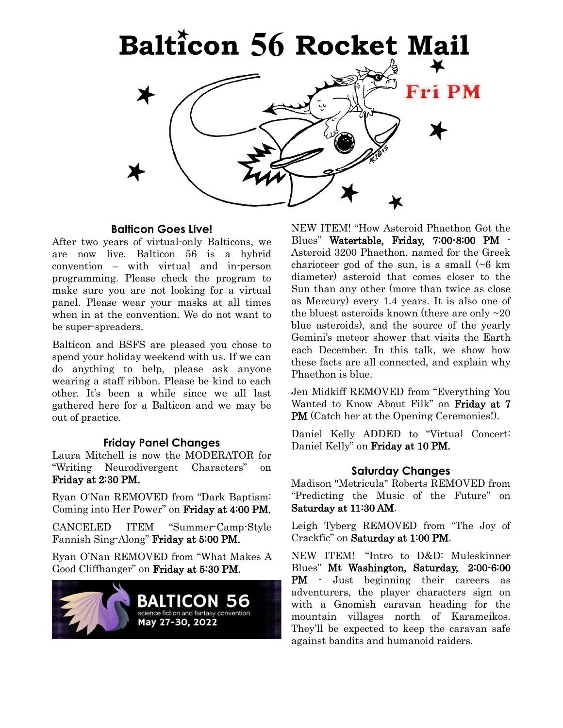

### **Balticon Goes Live!**

After two years of virtual-only Balticons, we are now live. Balticon 56 is a hybrid convention – with virtual and in-person programming. Please check the program to make sure you are not looking for a virtual panel. Please wear your masks at all times when in at the convention. We do not want to be super-spreaders.

Balticon and BSFS are pleased you chose to spend your holiday weekend with us. If we can do anything to help, please ask anyone wearing a staff ribbon. Please be kind to each other. It's been a while since we all last gathered here for a Balticon and we may be out of practice.

## **Friday Panel Changes**

Laura Mitchell is now the MODERATOR for "Writing Neurodivergent Characters" on Friday at 2:30 PM.

Ryan O'Nan REMOVED from "Dark Baptism: Coming into Her Power" on Friday at 4:00 PM.

CANCELED ITEM "Summer-Camp-Style Fannish Sing-Along" Friday at 5:00 PM.

Ryan O'Nan REMOVED from "What Makes A Good Cliffhanger" on Friday at 5:30 PM.



NEW ITEM! "How Asteroid Phaethon Got the Blues" Watertable, Friday, 7:00-8:00 PM - Asteroid 3200 Phaethon, named for the Greek charioteer god of the sun, is a small  $( \sim 6 \text{ km})$ diameter) asteroid that comes closer to the Sun than any other (more than twice as close as Mercury) every 1.4 years. It is also one of the bluest asteroids known (there are only  $\sim 20$ ) blue asteroids), and the source of the yearly Gemini's meteor shower that visits the Earth each December. In this talk, we show how these facts are all connected, and explain why Phaethon is blue.

Jen Midkiff REMOVED from "Everything You Wanted to Know About Filk" on Friday at 7 PM (Catch her at the Opening Ceremonies!).

Daniel Kelly ADDED to "Virtual Concert: Daniel Kelly" on Friday at 10 PM.

## **Saturday Changes**

Madison "Metricula" Roberts REMOVED from "Predicting the Music of the Future" on Saturday at 11:30 AM.

Leigh Tyberg REMOVED from "The Joy of Crackfic" on Saturday at 1:00 PM.

NEW ITEM! "Intro to D&D: Muleskinner Blues" Mt Washington, Saturday, 2:00-6:00 PM - Just beginning their careers as adventurers, the player characters sign on with a Gnomish caravan heading for the mountain villages north of Karameikos. They'll be expected to keep the caravan safe against bandits and humanoid raiders.